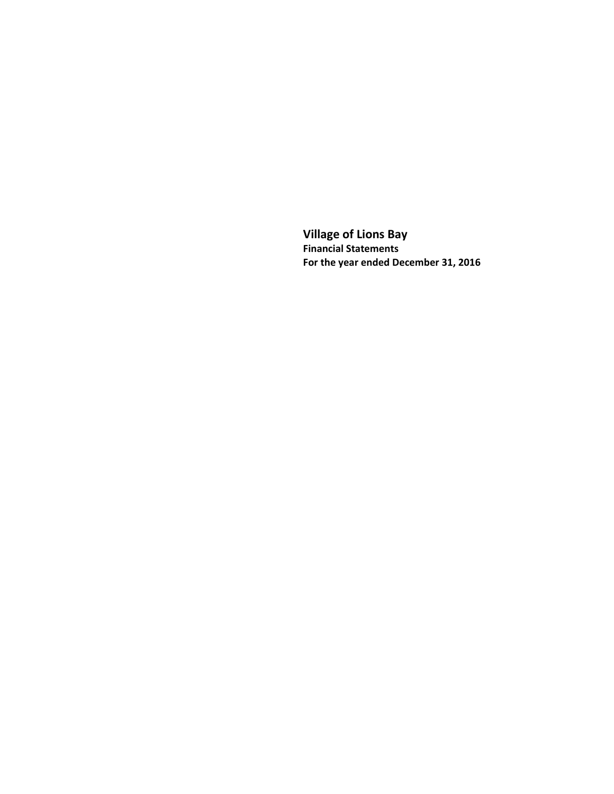**Village of Lions Bay Financial Statements For the year ended December 31, 2016**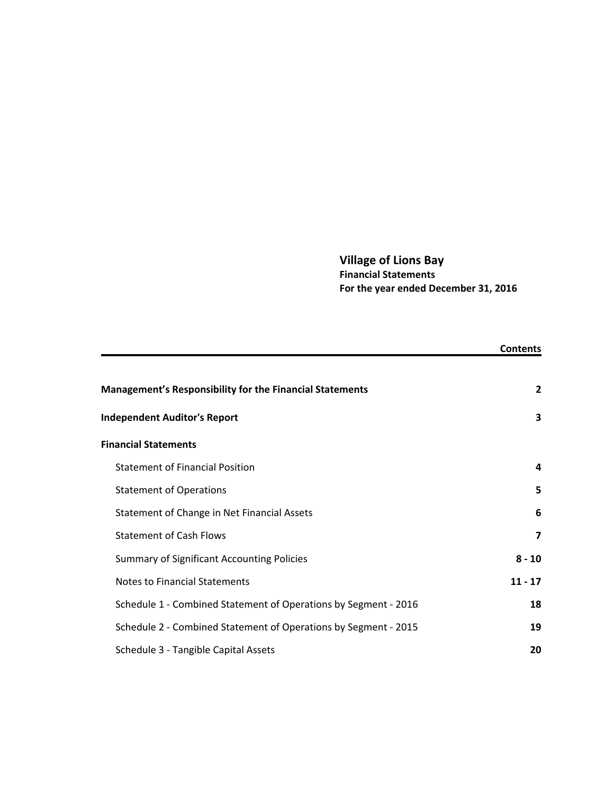# **Village of Lions Bay Financial Statements For the year ended December 31, 2016**

|                                                                 | <b>Contents</b> |
|-----------------------------------------------------------------|-----------------|
|                                                                 |                 |
| <b>Management's Responsibility for the Financial Statements</b> | $\overline{2}$  |
| <b>Independent Auditor's Report</b>                             | 3               |
| <b>Financial Statements</b>                                     |                 |
| <b>Statement of Financial Position</b>                          | 4               |
| <b>Statement of Operations</b>                                  | 5               |
| Statement of Change in Net Financial Assets                     | 6               |
| <b>Statement of Cash Flows</b>                                  | 7               |
| <b>Summary of Significant Accounting Policies</b>               | $8 - 10$        |
| <b>Notes to Financial Statements</b>                            | $11 - 17$       |
| Schedule 1 - Combined Statement of Operations by Segment - 2016 | 18              |
| Schedule 2 - Combined Statement of Operations by Segment - 2015 | 19              |
| Schedule 3 - Tangible Capital Assets                            | 20              |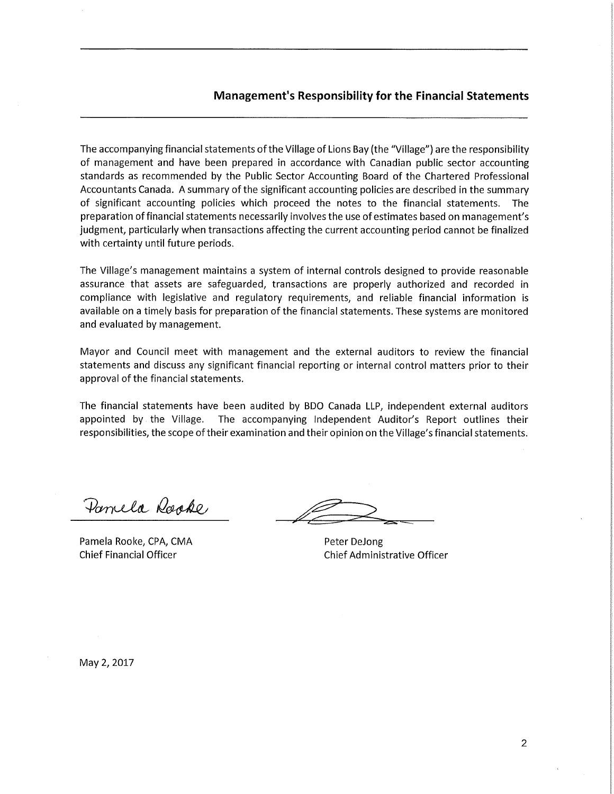The accompanying financial statements of the Village of Lions Bay (the "Village") are the responsibility of management and have been prepared in accordance with Canadian public sector accounting standards as recommended by the Public Sector Accounting Board of the Chartered Professional Accountants Canada. A summary of the significant accounting policies are described in the summary of significant accounting policies which proceed the notes to the financial statements. The preparation of financial statements necessarily involves the use of estimates based on management's judgment, particularly when transactions affecting the current accounting period cannot be finalized with certainty until future periods.

The Village's management maintains a system of internal controls designed to provide reasonable assurance that assets are safeguarded, transactions are properly authorized and recorded in compliance with legislative and regulatory requirements, and reliable financial information is available on a timely basis for preparation of the financial statements. These systems are monitored and evaluated by management.

Mayor and Council meet with management and the external auditors to review the financial statements and discuss any significant financial reporting or internal control matters prior to their approval of the financial statements.

The financial statements have been audited by BDO Canada LLP, independent external auditors appointed by the Village. The accompanying Independent Auditor's Report outlines their responsibilities, the scope of their examination and their opinion on the Village's financial statements.

Parrela Rooke

Pamela Rooke, CPA, CMA **Chief Financial Officer** 

Peter DeJong **Chief Administrative Officer** 

May 2, 2017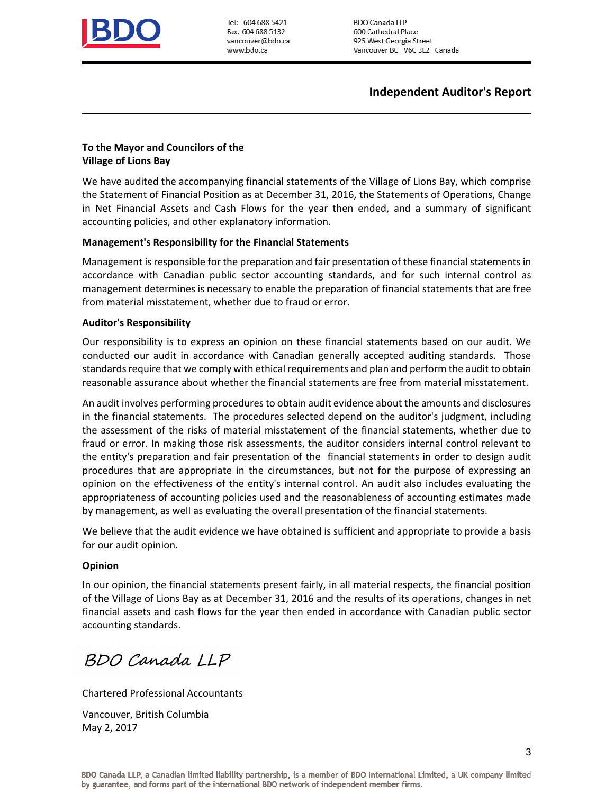

Tel: 604 688 5421 Fax: 604 688 5132 vancouver@bdo.ca www.bdo.ca

**BDO Canada LLP** 600 Cathedral Place 925 West Georgia Street Vancouver BC V6C 3L2 Canada

## **Independent Auditor's Report**

### **To the Mayor and Councilors of the Village of Lions Bay**

We have audited the accompanying financial statements of the Village of Lions Bay, which comprise the Statement of Financial Position as at December 31, 2016, the Statements of Operations, Change in Net Financial Assets and Cash Flows for the year then ended, and a summary of significant accounting policies, and other explanatory information.

### **Management's Responsibility for the Financial Statements**

Management is responsible for the preparation and fair presentation of these financial statements in accordance with Canadian public sector accounting standards, and for such internal control as management determines is necessary to enable the preparation of financial statements that are free from material misstatement, whether due to fraud or error.

### **Auditor's Responsibility**

Our responsibility is to express an opinion on these financial statements based on our audit. We conducted our audit in accordance with Canadian generally accepted auditing standards. Those standards require that we comply with ethical requirements and plan and perform the audit to obtain reasonable assurance about whether the financial statements are free from material misstatement.

An audit involves performing procedures to obtain audit evidence about the amounts and disclosures in the financial statements. The procedures selected depend on the auditor's judgment, including the assessment of the risks of material misstatement of the financial statements, whether due to fraud or error. In making those risk assessments, the auditor considers internal control relevant to the entity's preparation and fair presentation of the financial statements in order to design audit procedures that are appropriate in the circumstances, but not for the purpose of expressing an opinion on the effectiveness of the entity's internal control. An audit also includes evaluating the appropriateness of accounting policies used and the reasonableness of accounting estimates made by management, as well as evaluating the overall presentation of the financial statements.

We believe that the audit evidence we have obtained is sufficient and appropriate to provide a basis for our audit opinion.

#### **Opinion**

In our opinion, the financial statements present fairly, in all material respects, the financial position of the Village of Lions Bay as at December 31, 2016 and the results of its operations, changes in net financial assets and cash flows for the year then ended in accordance with Canadian public sector accounting standards.

BDO Canada LLP

Chartered Professional Accountants

Vancouver, British Columbia May 2, 2017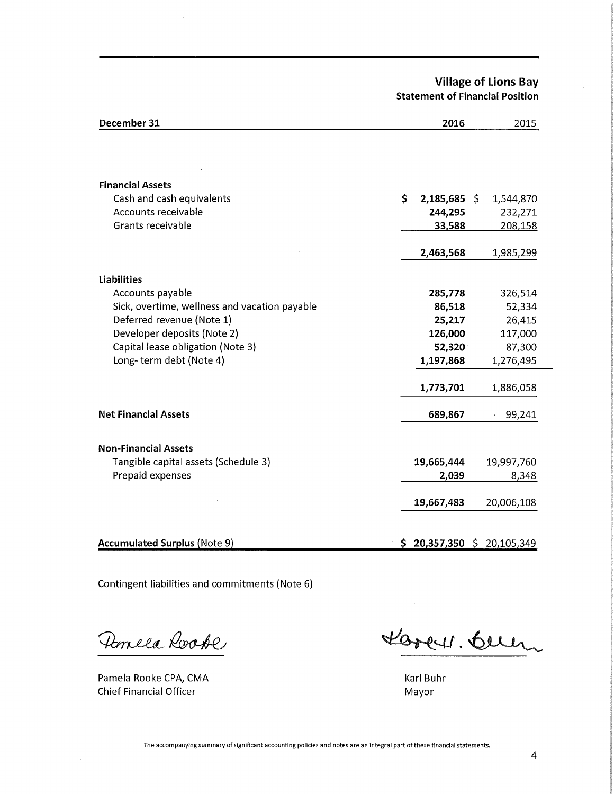**Village of Lions Bay Statement of Financial Position** 

| December 31                                   | 2016                       |                        | 2015 |
|-----------------------------------------------|----------------------------|------------------------|------|
|                                               |                            |                        |      |
| <b>Financial Assets</b>                       |                            |                        |      |
| Cash and cash equivalents                     | \$<br>$2,185,685$ \$       | 1,544,870              |      |
| Accounts receivable                           | 244,295                    | 232,271                |      |
| <b>Grants receivable</b>                      | 33,588                     | 208,158                |      |
|                                               | 2,463,568                  | 1,985,299              |      |
| <b>Liabilities</b>                            |                            |                        |      |
| Accounts payable                              | 285,778                    | 326,514                |      |
| Sick, overtime, wellness and vacation payable | 86,518                     | 52,334                 |      |
| Deferred revenue (Note 1)                     | 25,217                     | 26,415                 |      |
| Developer deposits (Note 2)                   | 126,000                    | 117,000                |      |
| Capital lease obligation (Note 3)             | 52,320                     | 87,300                 |      |
| Long-term debt (Note 4)                       | 1,197,868                  | 1,276,495              |      |
|                                               | 1,773,701                  | 1,886,058              |      |
| <b>Net Financial Assets</b>                   | 689,867                    | 99,241<br>$\mathbf{v}$ |      |
|                                               |                            |                        |      |
| <b>Non-Financial Assets</b>                   |                            |                        |      |
| Tangible capital assets (Schedule 3)          | 19,665,444                 | 19,997,760             |      |
| Prepaid expenses                              | 2,039                      | 8,348                  |      |
|                                               | 19,667,483                 | 20,006,108             |      |
|                                               |                            |                        |      |
| <b>Accumulated Surplus (Note 9)</b>           | $$20,357,350 \$20,105,349$ |                        |      |

Contingent liabilities and commitments (Note 6)

Pomela Roode

Pamela Rooke CPA, CMA **Chief Financial Officer** 

 $\bar{z}$ 

Lorey. Buen

Karl Buhr Mayor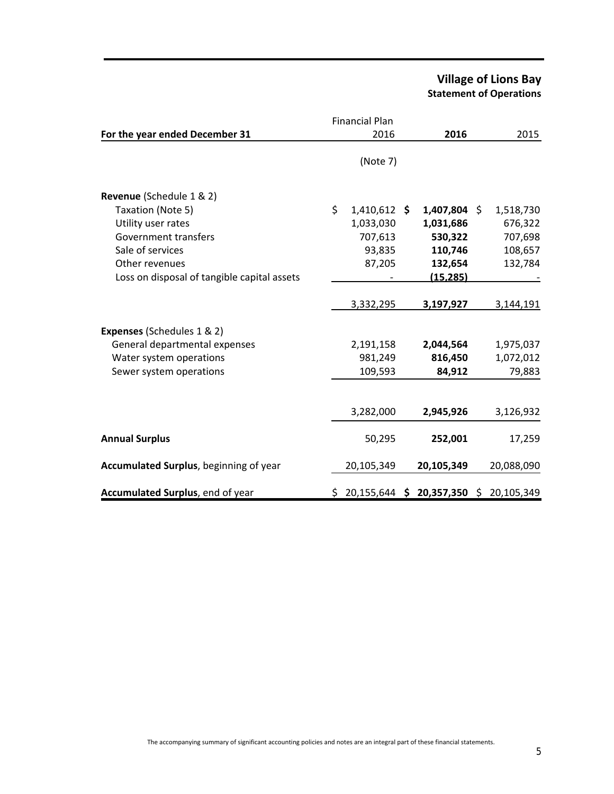# **Village of Lions Bay Statement of Operations**

|                                                                                                                              | <b>Financial Plan</b>                        |                                           |                                  |
|------------------------------------------------------------------------------------------------------------------------------|----------------------------------------------|-------------------------------------------|----------------------------------|
| For the year ended December 31                                                                                               | 2016                                         | 2016                                      | 2015                             |
|                                                                                                                              | (Note 7)                                     |                                           |                                  |
| Revenue (Schedule 1 & 2)<br>Taxation (Note 5)<br>Utility user rates<br>Government transfers                                  | \$<br>$1,410,612$ \$<br>1,033,030<br>707,613 | $1,407,804$ \$<br>1,031,686<br>530,322    | 1,518,730<br>676,322<br>707,698  |
| Sale of services<br>Other revenues<br>Loss on disposal of tangible capital assets                                            | 93,835<br>87,205                             | 110,746<br>132,654<br>(15, 285)           | 108,657<br>132,784               |
|                                                                                                                              | 3,332,295                                    | 3,197,927                                 | 3,144,191                        |
| <b>Expenses (Schedules 1 &amp; 2)</b><br>General departmental expenses<br>Water system operations<br>Sewer system operations | 2,191,158<br>981,249<br>109,593              | 2,044,564<br>816,450<br>84,912            | 1,975,037<br>1,072,012<br>79,883 |
|                                                                                                                              | 3,282,000                                    | 2,945,926                                 | 3,126,932                        |
| <b>Annual Surplus</b>                                                                                                        | 50,295                                       | 252,001                                   | 17,259                           |
| Accumulated Surplus, beginning of year                                                                                       | 20,105,349                                   | 20,105,349                                | 20,088,090                       |
| Accumulated Surplus, end of year                                                                                             |                                              | $$20,155,644$ $$20,357,350$ $$20,105,349$ |                                  |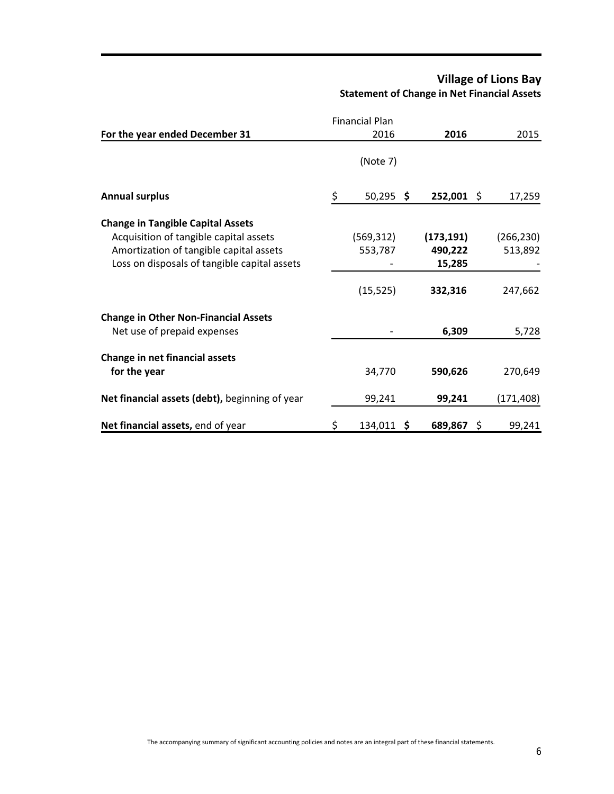# **Village of Lions Bay Statement of Change in Net Financial Assets**

|                                                                                                                                   |    | <b>Financial Plan</b> |                                 |                       |
|-----------------------------------------------------------------------------------------------------------------------------------|----|-----------------------|---------------------------------|-----------------------|
| For the year ended December 31                                                                                                    |    | 2016                  | 2016                            | 2015                  |
|                                                                                                                                   |    | (Note 7)              |                                 |                       |
| <b>Annual surplus</b>                                                                                                             | \$ | $50,295$ \$           | $252,001$ \$                    | 17,259                |
| <b>Change in Tangible Capital Assets</b>                                                                                          |    |                       |                                 |                       |
| Acquisition of tangible capital assets<br>Amortization of tangible capital assets<br>Loss on disposals of tangible capital assets |    | (569, 312)<br>553,787 | (173, 191)<br>490,222<br>15,285 | (266, 230)<br>513,892 |
|                                                                                                                                   |    | (15, 525)             | 332,316                         | 247,662               |
| <b>Change in Other Non-Financial Assets</b><br>Net use of prepaid expenses                                                        |    |                       | 6,309                           | 5,728                 |
| Change in net financial assets                                                                                                    |    |                       |                                 |                       |
| for the year                                                                                                                      |    | 34,770                | 590,626                         | 270,649               |
| Net financial assets (debt), beginning of year                                                                                    |    | 99,241                | 99,241                          | (171, 408)            |
| Net financial assets, end of year                                                                                                 | Ş  | 134,011 \$            | 689,867 \$                      | 99,241                |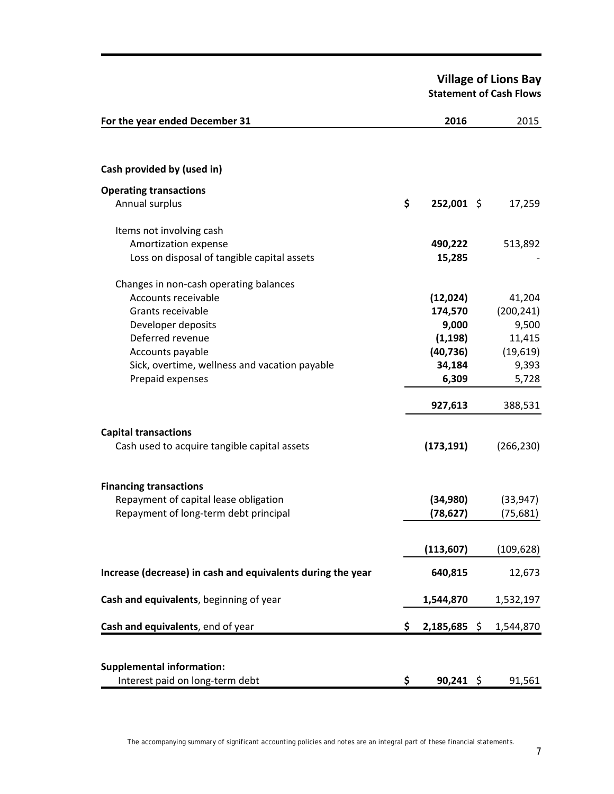**Village of Lions Bay Statement of Cash Flows** 

| For the year ended December 31                              | 2016                 | 2015       |
|-------------------------------------------------------------|----------------------|------------|
|                                                             |                      |            |
| Cash provided by (used in)                                  |                      |            |
| <b>Operating transactions</b>                               |                      |            |
| Annual surplus                                              | \$<br>252,001 \$     | 17,259     |
| Items not involving cash                                    |                      |            |
| Amortization expense                                        | 490,222              | 513,892    |
| Loss on disposal of tangible capital assets                 | 15,285               |            |
| Changes in non-cash operating balances                      |                      |            |
| Accounts receivable                                         | (12,024)             | 41,204     |
| Grants receivable                                           | 174,570              | (200, 241) |
| Developer deposits                                          | 9,000                | 9,500      |
| Deferred revenue                                            | (1, 198)             | 11,415     |
| Accounts payable                                            | (40, 736)            | (19, 619)  |
| Sick, overtime, wellness and vacation payable               | 34,184               | 9,393      |
| Prepaid expenses                                            | 6,309                | 5,728      |
|                                                             | 927,613              | 388,531    |
| <b>Capital transactions</b>                                 |                      |            |
| Cash used to acquire tangible capital assets                | (173, 191)           | (266, 230) |
| <b>Financing transactions</b>                               |                      |            |
| Repayment of capital lease obligation                       | (34,980)             | (33, 947)  |
| Repayment of long-term debt principal                       | (78, 627)            | (75, 681)  |
|                                                             |                      |            |
|                                                             | (113, 607)           | (109, 628) |
| Increase (decrease) in cash and equivalents during the year | 640,815              | 12,673     |
| Cash and equivalents, beginning of year                     | 1,544,870            | 1,532,197  |
| Cash and equivalents, end of year                           | \$<br>$2,185,685$ \$ | 1,544,870  |
|                                                             |                      |            |
| <b>Supplemental information:</b>                            |                      |            |
| Interest paid on long-term debt                             | \$<br>$90,241$ \$    | 91,561     |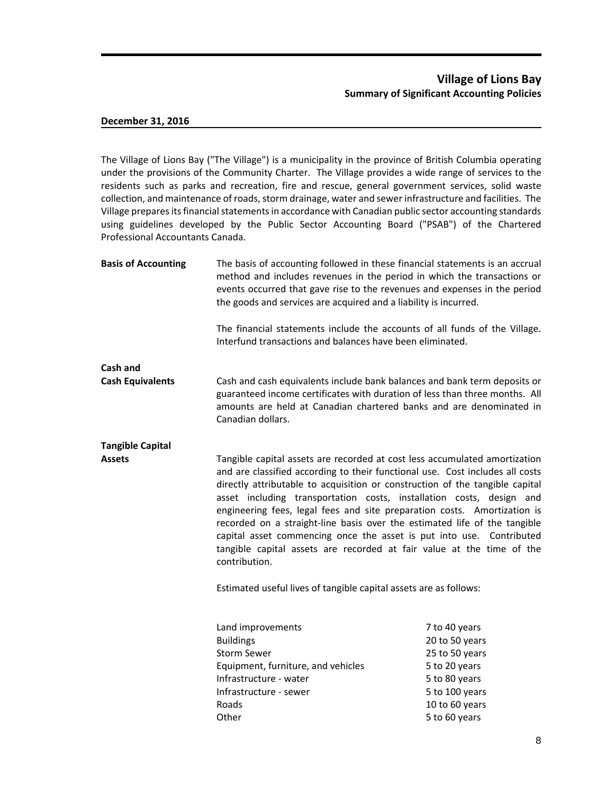### **Village of Lions Bay Summary of Significant Accounting Policies**

#### **December 31, 2016**

The Village of Lions Bay ("The Village") is a municipality in the province of British Columbia operating under the provisions of the Community Charter. The Village provides a wide range of services to the residents such as parks and recreation, fire and rescue, general government services, solid waste collection, and maintenance of roads, storm drainage, water and sewer infrastructure and facilities. The Village prepares its financial statements in accordance with Canadian public sector accounting standards using guidelines developed by the Public Sector Accounting Board ("PSAB") of the Chartered Professional Accountants Canada.

| <b>Basis of Accounting</b> | The basis of accounting followed in these financial statements is an accrual<br>method and includes revenues in the period in which the transactions or<br>events occurred that gave rise to the revenues and expenses in the period<br>the goods and services are acquired and a liability is incurred.                                                                                                                                                                                                                                                                                                                                                                                                            |                                                                                                                                          |  |  |  |
|----------------------------|---------------------------------------------------------------------------------------------------------------------------------------------------------------------------------------------------------------------------------------------------------------------------------------------------------------------------------------------------------------------------------------------------------------------------------------------------------------------------------------------------------------------------------------------------------------------------------------------------------------------------------------------------------------------------------------------------------------------|------------------------------------------------------------------------------------------------------------------------------------------|--|--|--|
|                            | The financial statements include the accounts of all funds of the Village.<br>Interfund transactions and balances have been eliminated.                                                                                                                                                                                                                                                                                                                                                                                                                                                                                                                                                                             |                                                                                                                                          |  |  |  |
| Cash and                   |                                                                                                                                                                                                                                                                                                                                                                                                                                                                                                                                                                                                                                                                                                                     |                                                                                                                                          |  |  |  |
| <b>Cash Equivalents</b>    | Cash and cash equivalents include bank balances and bank term deposits or<br>guaranteed income certificates with duration of less than three months. All<br>amounts are held at Canadian chartered banks and are denominated in<br>Canadian dollars.                                                                                                                                                                                                                                                                                                                                                                                                                                                                |                                                                                                                                          |  |  |  |
| <b>Tangible Capital</b>    |                                                                                                                                                                                                                                                                                                                                                                                                                                                                                                                                                                                                                                                                                                                     |                                                                                                                                          |  |  |  |
| <b>Assets</b>              | Tangible capital assets are recorded at cost less accumulated amortization<br>and are classified according to their functional use. Cost includes all costs<br>directly attributable to acquisition or construction of the tangible capital<br>asset including transportation costs, installation costs, design and<br>engineering fees, legal fees and site preparation costs. Amortization is<br>recorded on a straight-line basis over the estimated life of the tangible<br>capital asset commencing once the asset is put into use. Contributed<br>tangible capital assets are recorded at fair value at the time of the<br>contribution.<br>Estimated useful lives of tangible capital assets are as follows: |                                                                                                                                          |  |  |  |
|                            | Land improvements<br><b>Buildings</b><br><b>Storm Sewer</b><br>Equipment, furniture, and vehicles<br>Infrastructure - water<br>Infrastructure - sewer<br>Roads<br>Other                                                                                                                                                                                                                                                                                                                                                                                                                                                                                                                                             | 7 to 40 years<br>20 to 50 years<br>25 to 50 years<br>5 to 20 years<br>5 to 80 years<br>5 to 100 years<br>10 to 60 years<br>5 to 60 years |  |  |  |
|                            |                                                                                                                                                                                                                                                                                                                                                                                                                                                                                                                                                                                                                                                                                                                     |                                                                                                                                          |  |  |  |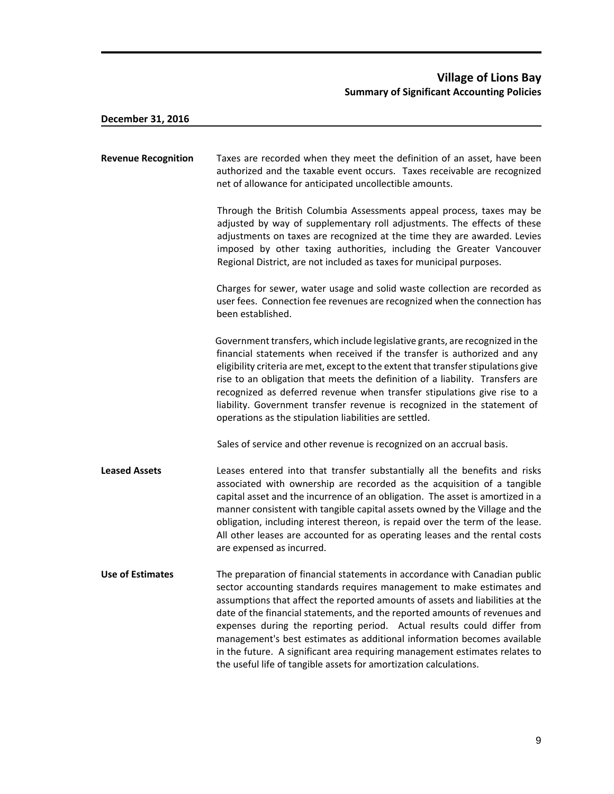| <b>Revenue Recognition</b> | Taxes are recorded when they meet the definition of an asset, have been<br>authorized and the taxable event occurs. Taxes receivable are recognized<br>net of allowance for anticipated uncollectible amounts.                                                                                                                                                                                                                                                                                                                                                                                                              |
|----------------------------|-----------------------------------------------------------------------------------------------------------------------------------------------------------------------------------------------------------------------------------------------------------------------------------------------------------------------------------------------------------------------------------------------------------------------------------------------------------------------------------------------------------------------------------------------------------------------------------------------------------------------------|
|                            | Through the British Columbia Assessments appeal process, taxes may be<br>adjusted by way of supplementary roll adjustments. The effects of these<br>adjustments on taxes are recognized at the time they are awarded. Levies<br>imposed by other taxing authorities, including the Greater Vancouver<br>Regional District, are not included as taxes for municipal purposes.                                                                                                                                                                                                                                                |
|                            | Charges for sewer, water usage and solid waste collection are recorded as<br>user fees. Connection fee revenues are recognized when the connection has<br>been established.                                                                                                                                                                                                                                                                                                                                                                                                                                                 |
|                            | Government transfers, which include legislative grants, are recognized in the<br>financial statements when received if the transfer is authorized and any<br>eligibility criteria are met, except to the extent that transfer stipulations give<br>rise to an obligation that meets the definition of a liability. Transfers are<br>recognized as deferred revenue when transfer stipulations give rise to a<br>liability. Government transfer revenue is recognized in the statement of<br>operations as the stipulation liabilities are settled.                                                                          |
|                            | Sales of service and other revenue is recognized on an accrual basis.                                                                                                                                                                                                                                                                                                                                                                                                                                                                                                                                                       |
| <b>Leased Assets</b>       | Leases entered into that transfer substantially all the benefits and risks<br>associated with ownership are recorded as the acquisition of a tangible<br>capital asset and the incurrence of an obligation. The asset is amortized in a<br>manner consistent with tangible capital assets owned by the Village and the<br>obligation, including interest thereon, is repaid over the term of the lease.<br>All other leases are accounted for as operating leases and the rental costs<br>are expensed as incurred.                                                                                                         |
| <b>Use of Estimates</b>    | The preparation of financial statements in accordance with Canadian public<br>sector accounting standards requires management to make estimates and<br>assumptions that affect the reported amounts of assets and liabilities at the<br>date of the financial statements, and the reported amounts of revenues and<br>expenses during the reporting period. Actual results could differ from<br>management's best estimates as additional information becomes available<br>in the future. A significant area requiring management estimates relates to<br>the useful life of tangible assets for amortization calculations. |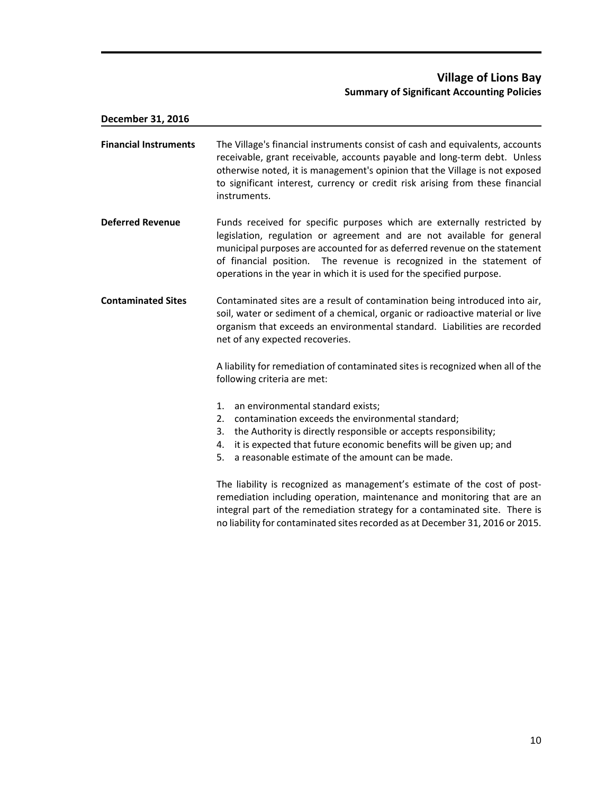# **Village of Lions Bay Summary of Significant Accounting Policies**

| December 31, 2016            |                                                                                                                                                                                                                                                                                                                                                                                 |
|------------------------------|---------------------------------------------------------------------------------------------------------------------------------------------------------------------------------------------------------------------------------------------------------------------------------------------------------------------------------------------------------------------------------|
| <b>Financial Instruments</b> | The Village's financial instruments consist of cash and equivalents, accounts<br>receivable, grant receivable, accounts payable and long-term debt. Unless<br>otherwise noted, it is management's opinion that the Village is not exposed<br>to significant interest, currency or credit risk arising from these financial<br>instruments.                                      |
| <b>Deferred Revenue</b>      | Funds received for specific purposes which are externally restricted by<br>legislation, regulation or agreement and are not available for general<br>municipal purposes are accounted for as deferred revenue on the statement<br>of financial position. The revenue is recognized in the statement of<br>operations in the year in which it is used for the specified purpose. |
| <b>Contaminated Sites</b>    | Contaminated sites are a result of contamination being introduced into air,<br>soil, water or sediment of a chemical, organic or radioactive material or live<br>organism that exceeds an environmental standard. Liabilities are recorded<br>net of any expected recoveries.                                                                                                   |
|                              | A liability for remediation of contaminated sites is recognized when all of the<br>following criteria are met:                                                                                                                                                                                                                                                                  |
|                              | 1.<br>an environmental standard exists;<br>contamination exceeds the environmental standard;<br>2.<br>the Authority is directly responsible or accepts responsibility;<br>3.<br>it is expected that future economic benefits will be given up; and<br>4.<br>a reasonable estimate of the amount can be made.<br>5.                                                              |
|                              | The liability is recognized as management's estimate of the cost of post-<br>remediation including operation, maintenance and monitoring that are an<br>integral part of the remediation strategy for a contaminated site. There is<br>no liability for contaminated sites recorded as at December 31, 2016 or 2015.                                                            |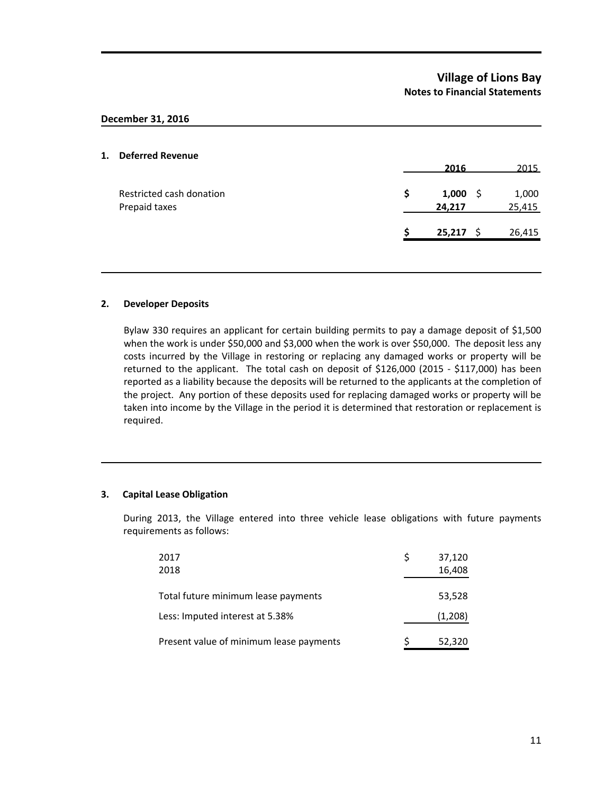## **Village of Lions Bay Notes to Financial Statements**

#### **December 31, 2016**

#### **1. Deferred Revenue**

|                                           |   | 2016                 | 2015            |
|-------------------------------------------|---|----------------------|-----------------|
| Restricted cash donation<br>Prepaid taxes | S | $1,000$ \$<br>24,217 | 1,000<br>25,415 |
|                                           |   | $25,217$ \$          | 26,415          |
|                                           |   |                      |                 |

#### **2. Developer Deposits**

Bylaw 330 requires an applicant for certain building permits to pay a damage deposit of \$1,500 when the work is under \$50,000 and \$3,000 when the work is over \$50,000. The deposit less any costs incurred by the Village in restoring or replacing any damaged works or property will be returned to the applicant. The total cash on deposit of \$126,000 (2015 - \$117,000) has been reported as a liability because the deposits will be returned to the applicants at the completion of the project. Any portion of these deposits used for replacing damaged works or property will be taken into income by the Village in the period it is determined that restoration or replacement is required.

#### **3. Capital Lease Obligation**

During 2013, the Village entered into three vehicle lease obligations with future payments requirements as follows:

| 2017<br>2018                            | S | 37,120<br>16,408 |
|-----------------------------------------|---|------------------|
| Total future minimum lease payments     |   | 53,528           |
| Less: Imputed interest at 5.38%         |   | (1,208)          |
| Present value of minimum lease payments |   | 52,320           |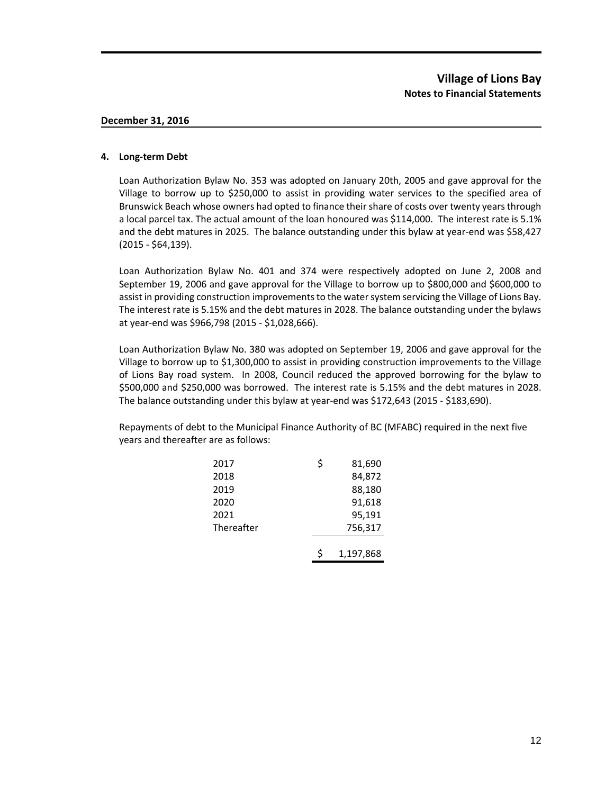#### **4. Long-term Debt**

Loan Authorization Bylaw No. 353 was adopted on January 20th, 2005 and gave approval for the Village to borrow up to \$250,000 to assist in providing water services to the specified area of Brunswick Beach whose owners had opted to finance their share of costs over twenty years through a local parcel tax. The actual amount of the loan honoured was \$114,000. The interest rate is 5.1% and the debt matures in 2025. The balance outstanding under this bylaw at year-end was \$58,427 (2015 - \$64,139).

Loan Authorization Bylaw No. 401 and 374 were respectively adopted on June 2, 2008 and September 19, 2006 and gave approval for the Village to borrow up to \$800,000 and \$600,000 to assist in providing construction improvements to the water system servicing the Village of Lions Bay. The interest rate is 5.15% and the debt matures in 2028. The balance outstanding under the bylaws at year-end was \$966,798 (2015 - \$1,028,666).

Loan Authorization Bylaw No. 380 was adopted on September 19, 2006 and gave approval for the Village to borrow up to \$1,300,000 to assist in providing construction improvements to the Village of Lions Bay road system. In 2008, Council reduced the approved borrowing for the bylaw to \$500,000 and \$250,000 was borrowed. The interest rate is 5.15% and the debt matures in 2028. The balance outstanding under this bylaw at year-end was \$172,643 (2015 - \$183,690).

Repayments of debt to the Municipal Finance Authority of BC (MFABC) required in the next five years and thereafter are as follows:

| 2017       | \$ | 81,690    |
|------------|----|-----------|
| 2018       |    | 84,872    |
| 2019       |    | 88,180    |
| 2020       |    | 91,618    |
| 2021       |    | 95,191    |
| Thereafter |    | 756,317   |
|            |    |           |
|            |    | 1,197,868 |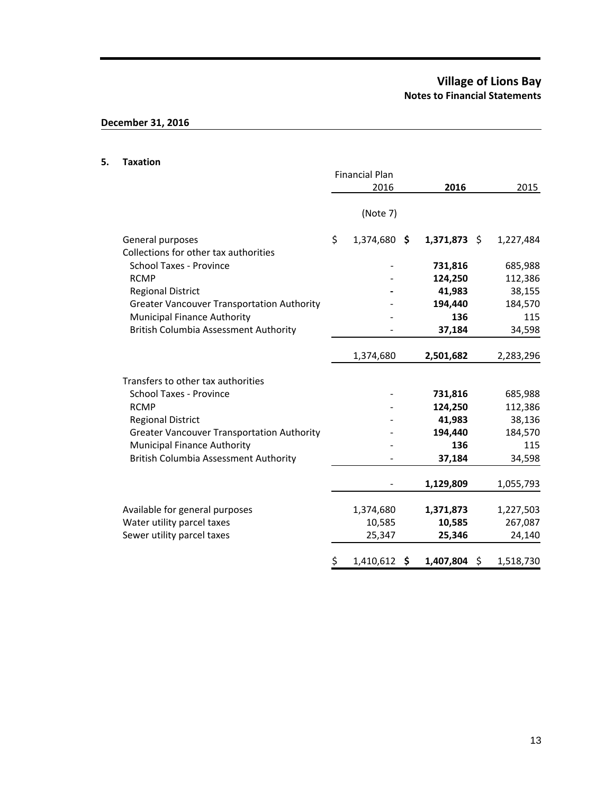# **Village of Lions Bay Notes to Financial Statements**

# **December 31, 2016**

#### **5. Taxation**

|                                                   | <b>Financial Plan</b> |                |                 |
|---------------------------------------------------|-----------------------|----------------|-----------------|
|                                                   | 2016                  | 2016           | 2015            |
|                                                   | (Note 7)              |                |                 |
| General purposes                                  | \$<br>1,374,680 \$    | $1,371,873$ \$ | 1,227,484       |
| Collections for other tax authorities             |                       |                |                 |
| <b>School Taxes - Province</b>                    |                       | 731,816        | 685,988         |
| <b>RCMP</b>                                       |                       | 124,250        | 112,386         |
| <b>Regional District</b>                          |                       | 41,983         | 38,155          |
| <b>Greater Vancouver Transportation Authority</b> |                       | 194,440        | 184,570         |
| <b>Municipal Finance Authority</b>                |                       | 136            | 115             |
| <b>British Columbia Assessment Authority</b>      |                       | 37,184         | 34,598          |
|                                                   | 1,374,680             | 2,501,682      | 2,283,296       |
| Transfers to other tax authorities                |                       |                |                 |
| <b>School Taxes - Province</b>                    |                       | 731,816        | 685,988         |
| <b>RCMP</b>                                       |                       | 124,250        | 112,386         |
| <b>Regional District</b>                          |                       | 41,983         | 38,136          |
| <b>Greater Vancouver Transportation Authority</b> |                       | 194,440        | 184,570         |
| <b>Municipal Finance Authority</b>                |                       | 136            | 115             |
| <b>British Columbia Assessment Authority</b>      |                       | 37,184         | 34,598          |
|                                                   |                       | 1,129,809      | 1,055,793       |
| Available for general purposes                    | 1,374,680             | 1,371,873      | 1,227,503       |
| Water utility parcel taxes                        | 10,585                | 10,585         | 267,087         |
| Sewer utility parcel taxes                        | 25,347                | 25,346         | 24,140          |
|                                                   | \$<br>1,410,612<br>\$ | 1,407,804      | \$<br>1,518,730 |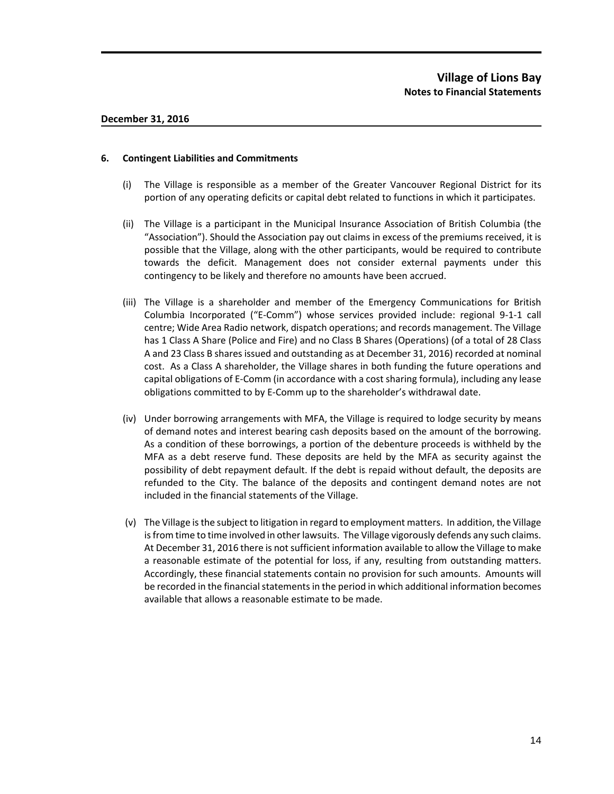#### **6. Contingent Liabilities and Commitments**

- (i) The Village is responsible as a member of the Greater Vancouver Regional District for its portion of any operating deficits or capital debt related to functions in which it participates.
- (ii) The Village is a participant in the Municipal Insurance Association of British Columbia (the "Association"). Should the Association pay out claims in excess of the premiums received, it is possible that the Village, along with the other participants, would be required to contribute towards the deficit. Management does not consider external payments under this contingency to be likely and therefore no amounts have been accrued.
- (iii) The Village is a shareholder and member of the Emergency Communications for British Columbia Incorporated ("E-Comm") whose services provided include: regional 9-1-1 call centre; Wide Area Radio network, dispatch operations; and records management. The Village has 1 Class A Share (Police and Fire) and no Class B Shares (Operations) (of a total of 28 Class A and 23 Class B shares issued and outstanding as at December 31, 2016) recorded at nominal cost. As a Class A shareholder, the Village shares in both funding the future operations and capital obligations of E-Comm (in accordance with a cost sharing formula), including any lease obligations committed to by E-Comm up to the shareholder's withdrawal date.
- (iv) Under borrowing arrangements with MFA, the Village is required to lodge security by means of demand notes and interest bearing cash deposits based on the amount of the borrowing. As a condition of these borrowings, a portion of the debenture proceeds is withheld by the MFA as a debt reserve fund. These deposits are held by the MFA as security against the possibility of debt repayment default. If the debt is repaid without default, the deposits are refunded to the City. The balance of the deposits and contingent demand notes are not included in the financial statements of the Village.
- (v) The Village is the subject to litigation in regard to employment matters. In addition, the Village is from time to time involved in other lawsuits. The Village vigorously defends any such claims. At December 31, 2016 there is not sufficient information available to allow the Village to make a reasonable estimate of the potential for loss, if any, resulting from outstanding matters. Accordingly, these financial statements contain no provision for such amounts. Amounts will be recorded in the financial statements in the period in which additional information becomes available that allows a reasonable estimate to be made.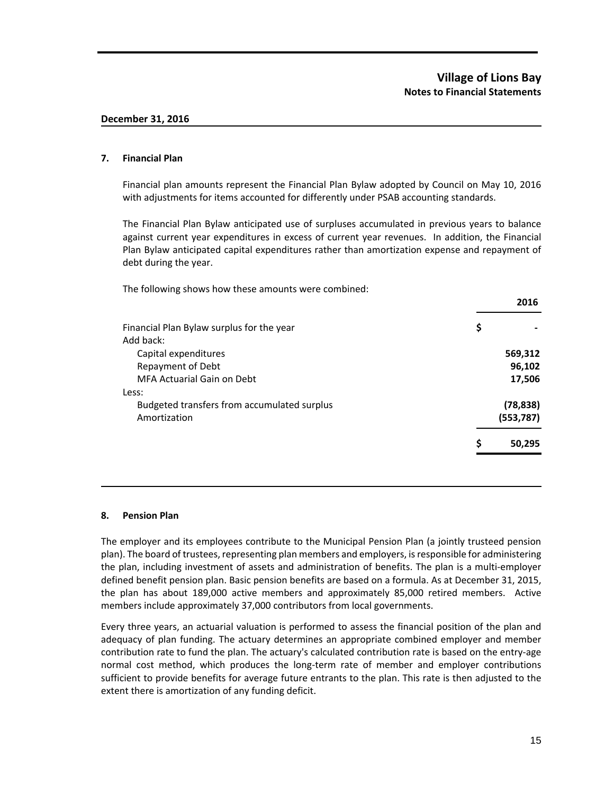#### **7. Financial Plan**

Financial plan amounts represent the Financial Plan Bylaw adopted by Council on May 10, 2016 with adjustments for items accounted for differently under PSAB accounting standards.

The Financial Plan Bylaw anticipated use of surpluses accumulated in previous years to balance against current year expenditures in excess of current year revenues. In addition, the Financial Plan Bylaw anticipated capital expenditures rather than amortization expense and repayment of debt during the year.

The following shows how these amounts were combined:

| Ş |            |
|---|------------|
|   |            |
|   | 569,312    |
|   | 96,102     |
|   | 17,506     |
|   |            |
|   | (78, 838)  |
|   | (553, 787) |
| Ş | 50.295     |
|   |            |

#### **8. Pension Plan**

The employer and its employees contribute to the Municipal Pension Plan (a jointly trusteed pension plan). The board of trustees, representing plan members and employers, is responsible for administering the plan, including investment of assets and administration of benefits. The plan is a multi-employer defined benefit pension plan. Basic pension benefits are based on a formula. As at December 31, 2015, the plan has about 189,000 active members and approximately 85,000 retired members. Active members include approximately 37,000 contributors from local governments.

Every three years, an actuarial valuation is performed to assess the financial position of the plan and adequacy of plan funding. The actuary determines an appropriate combined employer and member contribution rate to fund the plan. The actuary's calculated contribution rate is based on the entry-age normal cost method, which produces the long-term rate of member and employer contributions sufficient to provide benefits for average future entrants to the plan. This rate is then adjusted to the extent there is amortization of any funding deficit.

**2016**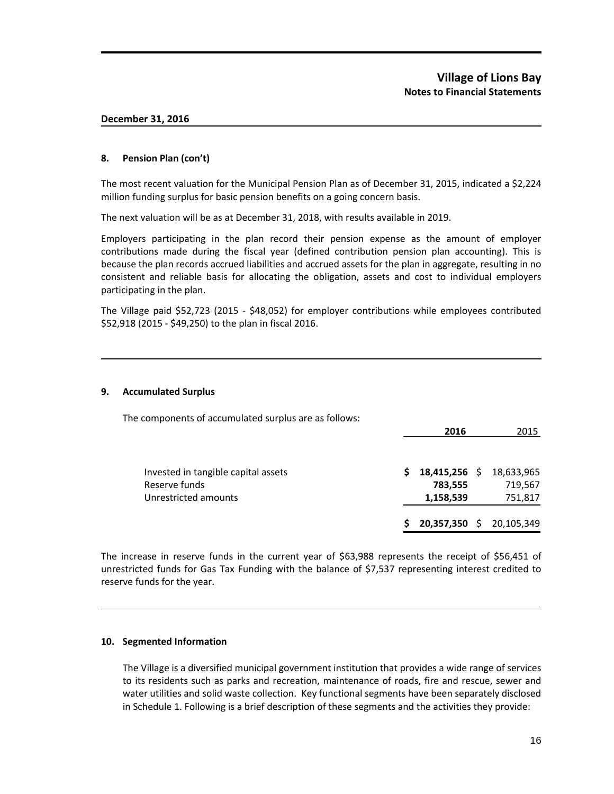#### **8. Pension Plan (con't)**

The most recent valuation for the Municipal Pension Plan as of December 31, 2015, indicated a \$2,224 million funding surplus for basic pension benefits on a going concern basis.

The next valuation will be as at December 31, 2018, with results available in 2019.

Employers participating in the plan record their pension expense as the amount of employer contributions made during the fiscal year (defined contribution pension plan accounting). This is because the plan records accrued liabilities and accrued assets for the plan in aggregate, resulting in no consistent and reliable basis for allocating the obligation, assets and cost to individual employers participating in the plan.

The Village paid \$52,723 (2015 - \$48,052) for employer contributions while employees contributed \$52,918 (2015 - \$49,250) to the plan in fiscal 2016.

#### **9. Accumulated Surplus**

The components of accumulated surplus are as follows:

|                                     |    | 2016          | 2015                     |
|-------------------------------------|----|---------------|--------------------------|
|                                     |    |               |                          |
| Invested in tangible capital assets | S. | 18,415,256 \$ | 18,633,965               |
| Reserve funds                       |    | 783,555       | 719,567                  |
| Unrestricted amounts                |    | 1,158,539     | 751,817                  |
|                                     | S  |               | 20,357,350 \$ 20,105,349 |

The increase in reserve funds in the current year of \$63,988 represents the receipt of \$56,451 of unrestricted funds for Gas Tax Funding with the balance of \$7,537 representing interest credited to reserve funds for the year.

#### **10. Segmented Information**

The Village is a diversified municipal government institution that provides a wide range of services to its residents such as parks and recreation, maintenance of roads, fire and rescue, sewer and water utilities and solid waste collection. Key functional segments have been separately disclosed in Schedule 1. Following is a brief description of these segments and the activities they provide: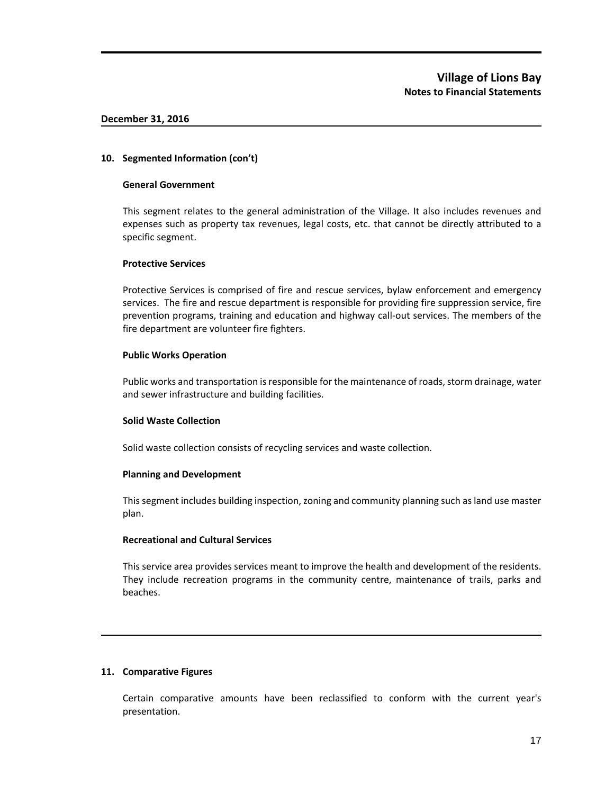#### **10. Segmented Information (con't)**

#### **General Government**

This segment relates to the general administration of the Village. It also includes revenues and expenses such as property tax revenues, legal costs, etc. that cannot be directly attributed to a specific segment.

#### **Protective Services**

Protective Services is comprised of fire and rescue services, bylaw enforcement and emergency services. The fire and rescue department is responsible for providing fire suppression service, fire prevention programs, training and education and highway call-out services. The members of the fire department are volunteer fire fighters.

#### **Public Works Operation**

Public works and transportation is responsible for the maintenance of roads, storm drainage, water and sewer infrastructure and building facilities.

#### **Solid Waste Collection**

Solid waste collection consists of recycling services and waste collection.

### **Planning and Development**

This segment includes building inspection, zoning and community planning such as land use master plan.

### **Recreational and Cultural Services**

This service area provides services meant to improve the health and development of the residents. They include recreation programs in the community centre, maintenance of trails, parks and beaches.

### **11. Comparative Figures**

Certain comparative amounts have been reclassified to conform with the current year's presentation.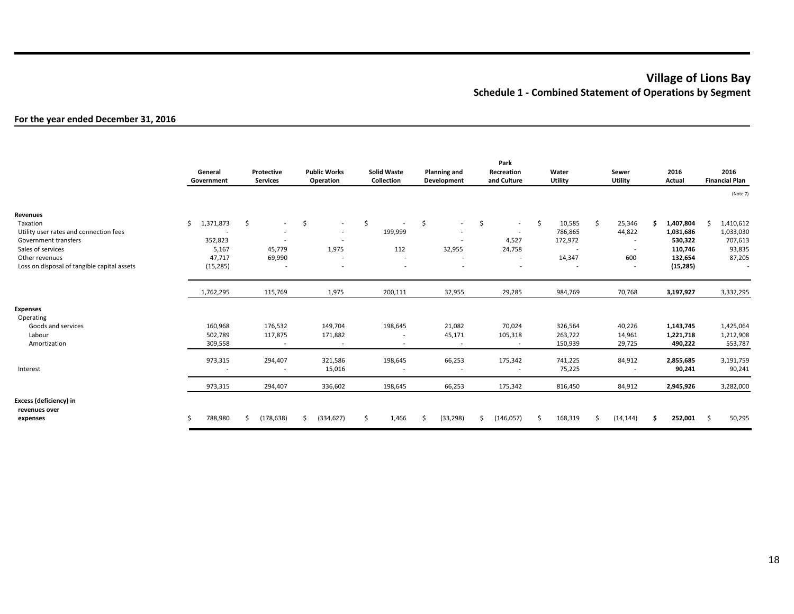# **Village of Lions Bay Schedule 1 - Combined Statement of Operations by Segment**

### **For the year ended December 31, 2016**

|                                                                                                                                                                              | General<br>Government                                                                  | Protective<br><b>Services</b>                                 | <b>Public Works</b><br>Operation                                                                                                      | <b>Solid Waste</b><br>Collection                                             | <b>Planning and</b><br>Development                                   | Park<br>Recreation<br>and Culture                                                       | Water<br>Utility                                                         | Sewer<br>Utility                                          | 2016<br>Actual                                                            | 2016<br><b>Financial Plan</b>                               |
|------------------------------------------------------------------------------------------------------------------------------------------------------------------------------|----------------------------------------------------------------------------------------|---------------------------------------------------------------|---------------------------------------------------------------------------------------------------------------------------------------|------------------------------------------------------------------------------|----------------------------------------------------------------------|-----------------------------------------------------------------------------------------|--------------------------------------------------------------------------|-----------------------------------------------------------|---------------------------------------------------------------------------|-------------------------------------------------------------|
|                                                                                                                                                                              |                                                                                        |                                                               |                                                                                                                                       |                                                                              |                                                                      |                                                                                         |                                                                          |                                                           |                                                                           | (Note 7)                                                    |
| Revenues<br>Taxation<br>Utility user rates and connection fees<br>Government transfers<br>Sales of services<br>Other revenues<br>Loss on disposal of tangible capital assets | Ś.<br>1,371,873<br>$\overline{\phantom{a}}$<br>352,823<br>5,167<br>47,717<br>(15, 285) | -\$<br>$\sim$<br>$\overline{\phantom{a}}$<br>45,779<br>69,990 | \$<br>$\sim$<br>$\overline{\phantom{a}}$<br>$\overline{\phantom{a}}$<br>1,975<br>$\overline{\phantom{a}}$<br>$\overline{\phantom{a}}$ | \$<br>$\overline{\phantom{a}}$<br>199,999<br>112<br>$\overline{\phantom{a}}$ | Ŝ.<br>$\sim$<br>$\overline{\phantom{a}}$<br>$\overline{a}$<br>32,955 | \$<br>$\sim$<br>$\overline{\phantom{a}}$<br>4,527<br>24,758<br>$\sim$<br>$\overline{a}$ | \$<br>10,585<br>786,865<br>172,972<br>$\overline{\phantom{a}}$<br>14,347 | Ŝ.<br>25,346<br>44,822<br>$\overline{\phantom{a}}$<br>600 | 1,407,804<br>Ś<br>1,031,686<br>530,322<br>110,746<br>132,654<br>(15, 285) | Ŝ.<br>1,410,612<br>1,033,030<br>707,613<br>93,835<br>87,205 |
|                                                                                                                                                                              | 1,762,295                                                                              | 115,769                                                       | 1,975                                                                                                                                 | 200,111                                                                      | 32,955                                                               | 29,285                                                                                  | 984,769                                                                  | 70,768                                                    | 3,197,927                                                                 | 3,332,295                                                   |
| <b>Expenses</b><br>Operating<br>Goods and services<br>Labour<br>Amortization                                                                                                 | 160,968<br>502,789<br>309,558                                                          | 176,532<br>117,875<br>$\sim$                                  | 149,704<br>171,882<br>$\sim$                                                                                                          | 198,645<br>$\overline{\phantom{a}}$                                          | 21,082<br>45,171<br>$\sim$                                           | 70,024<br>105,318<br>$\sim$                                                             | 326,564<br>263,722<br>150,939                                            | 40,226<br>14,961<br>29,725                                | 1,143,745<br>1,221,718<br>490,222                                         | 1,425,064<br>1,212,908<br>553,787                           |
| Interest                                                                                                                                                                     | 973,315                                                                                | 294,407<br>$\overline{\phantom{a}}$                           | 321,586<br>15,016                                                                                                                     | 198,645                                                                      | 66,253<br>$\overline{\phantom{a}}$                                   | 175,342<br>$\overline{\phantom{a}}$                                                     | 741,225<br>75,225                                                        | 84,912<br>$\sim$                                          | 2,855,685<br>90,241                                                       | 3,191,759<br>90,241                                         |
|                                                                                                                                                                              | 973,315                                                                                | 294,407                                                       | 336,602                                                                                                                               | 198,645                                                                      | 66,253                                                               | 175,342                                                                                 | 816,450                                                                  | 84,912                                                    | 2,945,926                                                                 | 3,282,000                                                   |
| Excess (deficiency) in<br>revenues over<br>expenses                                                                                                                          | 788,980                                                                                | Ŝ<br>(178, 638)                                               | Ś.<br>(334, 627)                                                                                                                      | Ŝ.<br>1,466                                                                  | (33, 298)<br>Ŝ.                                                      | Ś<br>(146, 057)                                                                         | 168,319<br>Ś.                                                            | <sup>\$</sup><br>(14, 144)                                | 252,001<br>Ś.                                                             | Ś<br>50,295                                                 |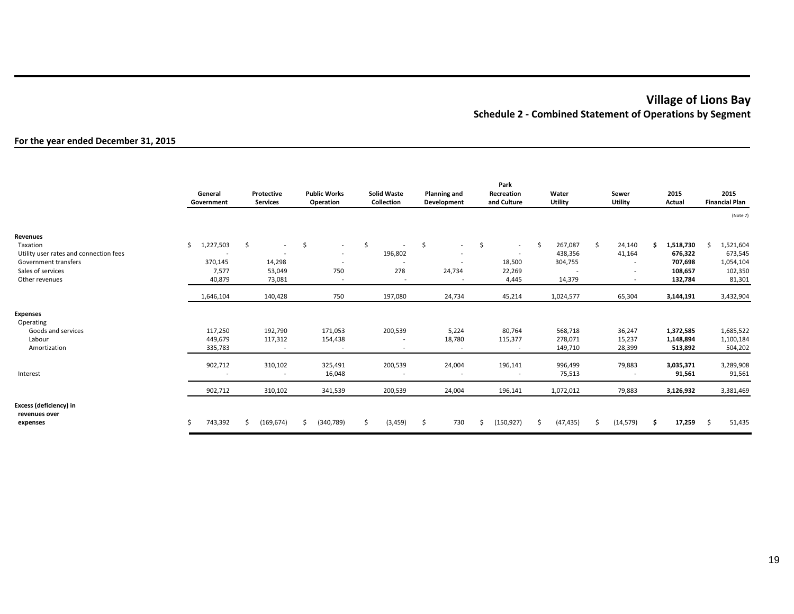# **Village of Lions Bay Schedule 2 - Combined Statement of Operations by Segment**

#### **For the year ended December 31, 2015**

|                                                     | General<br>Government | Protective<br><b>Services</b>       | <b>Public Works</b><br>Operation | <b>Solid Waste</b><br>Collection    | <b>Planning and</b><br>Development | Park<br>Recreation<br>and Culture              | Water<br>Utility         | Sewer<br>Utility | 2015<br>Actual      | 2015<br><b>Financial Plan</b> |
|-----------------------------------------------------|-----------------------|-------------------------------------|----------------------------------|-------------------------------------|------------------------------------|------------------------------------------------|--------------------------|------------------|---------------------|-------------------------------|
|                                                     |                       |                                     |                                  |                                     |                                    |                                                |                          |                  |                     | (Note 7)                      |
| Revenues                                            |                       |                                     |                                  |                                     |                                    |                                                |                          |                  |                     |                               |
| Taxation                                            | Ŝ.<br>1,227,503       | \$<br>$\sim$                        | \$<br>$\sim$                     | \$<br>$\overline{\phantom{a}}$      | -\$<br>$\sim$                      | $\mathsf{\hat{S}}$<br>$\overline{\phantom{a}}$ | \$<br>267,087            | \$<br>24,140     | 1,518,730<br>Ś.     | 1,521,604<br>.S               |
| Utility user rates and connection fees              |                       | $\overline{\phantom{a}}$            | $\overline{\phantom{a}}$         | 196,802                             | $\overline{\phantom{a}}$           | $\sim$                                         | 438,356                  | 41,164           | 676,322             | 673,545                       |
| Government transfers                                | 370,145               | 14,298                              | $\overline{\phantom{a}}$         | $\overline{\phantom{a}}$            | $\overline{\phantom{a}}$           | 18,500                                         | 304,755                  |                  | 707,698             | 1,054,104                     |
| Sales of services                                   | 7,577                 | 53,049                              | 750                              | 278                                 | 24,734                             | 22,269                                         | $\overline{\phantom{a}}$ |                  | 108,657             | 102,350                       |
| Other revenues                                      | 40,879                | 73,081                              | $\overline{\phantom{a}}$         | $\overline{\phantom{a}}$            |                                    | 4,445                                          | 14,379                   |                  | 132,784             | 81,301                        |
|                                                     | 1,646,104             | 140,428                             | 750                              | 197,080                             | 24,734                             | 45,214                                         | 1,024,577                | 65,304           | 3,144,191           | 3,432,904                     |
| <b>Expenses</b><br>Operating                        |                       |                                     |                                  |                                     |                                    |                                                |                          |                  |                     |                               |
| Goods and services                                  | 117,250               | 192,790                             | 171,053                          | 200,539                             | 5,224                              | 80,764                                         | 568,718                  | 36,247           | 1,372,585           | 1,685,522                     |
| Labour                                              | 449,679               | 117,312                             | 154,438                          | $\overline{\phantom{a}}$            | 18,780                             | 115,377                                        | 278,071                  | 15,237           | 1,148,894           | 1,100,184                     |
| Amortization                                        | 335,783               | $\sim$                              | $\overline{\phantom{a}}$         | $\overline{\phantom{a}}$            | $\sim$                             | $\overline{\phantom{a}}$                       | 149,710                  | 28,399           | 513,892             | 504,202                       |
| Interest                                            | 902,712               | 310,102<br>$\overline{\phantom{a}}$ | 325,491<br>16,048                | 200,539<br>$\overline{\phantom{a}}$ | 24,004<br>$\overline{\phantom{a}}$ | 196,141<br>$\overline{\phantom{a}}$            | 996,499<br>75,513        | 79,883           | 3,035,371<br>91,561 | 3,289,908<br>91,561           |
|                                                     | 902,712               | 310,102                             | 341,539                          | 200,539                             | 24,004                             | 196,141                                        | 1,072,012                | 79,883           | 3,126,932           | 3,381,469                     |
| Excess (deficiency) in<br>revenues over<br>expenses | 743,392               | (169, 674)<br>Ŝ                     | (340, 789)<br>Ŝ                  | (3, 459)<br>Ŝ.                      | 730<br>-\$                         | (150, 927)<br>\$                               | (47, 435)<br>Ś.          | Ŝ.<br>(14, 579)  | 17,259<br>\$.       | 51,435<br>Ŝ.                  |